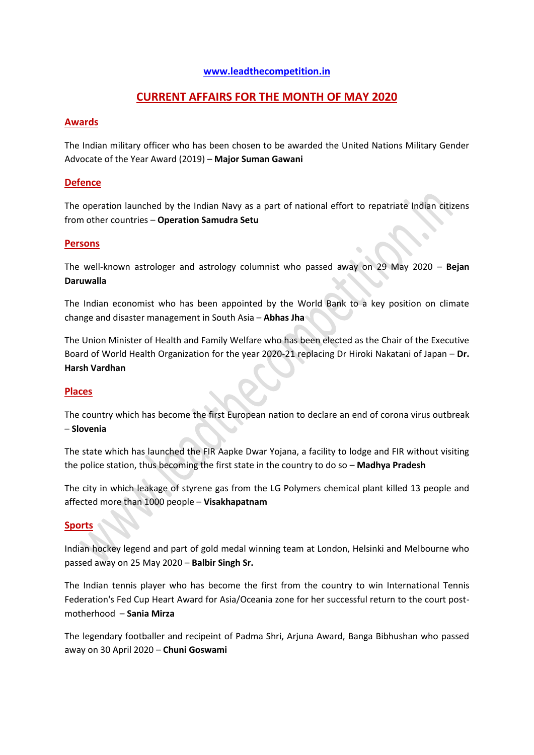### **[www.leadthecompetition.in](http://www.leadthecompetition.in/)**

# **CURRENT AFFAIRS FOR THE MONTH OF MAY 2020**

### **Awards**

The Indian military officer who has been chosen to be awarded the United Nations Military Gender Advocate of the Year Award (2019) – **Major Suman Gawani**

### **Defence**

The operation launched by the Indian Navy as a part of national effort to repatriate Indian citizens from other countries – **Operation Samudra Setu**

#### **Persons**

The well-known astrologer and astrology columnist who passed away on 29 May 2020 – **Bejan Daruwalla**

The Indian economist who has been appointed by the World Bank to a key position on climate change and disaster management in South Asia – **Abhas Jha**

The Union Minister of Health and Family Welfare who has been elected as the Chair of the Executive Board of World Health Organization for the year 2020-21 replacing Dr Hiroki Nakatani of Japan – **Dr. Harsh Vardhan**

#### **Places**

The country which has become the first European nation to declare an end of corona virus outbreak – **Slovenia**

The state which has launched the FIR Aapke Dwar Yojana, a facility to lodge and FIR without visiting the police station, thus becoming the first state in the country to do so – **Madhya Pradesh**

The city in which leakage of styrene gas from the LG Polymers chemical plant killed 13 people and affected more than 1000 people – **Visakhapatnam**

#### **Sports**

Indian hockey legend and part of gold medal winning team at London, Helsinki and Melbourne who passed away on 25 May 2020 – **Balbir Singh Sr.**

The Indian tennis player who has become the first from the country to win International Tennis Federation's Fed Cup Heart Award for Asia/Oceania zone for her successful return to the court postmotherhood – **Sania Mirza**

The legendary footballer and recipeint of Padma Shri, Arjuna Award, Banga Bibhushan who passed away on 30 April 2020 – **Chuni Goswami**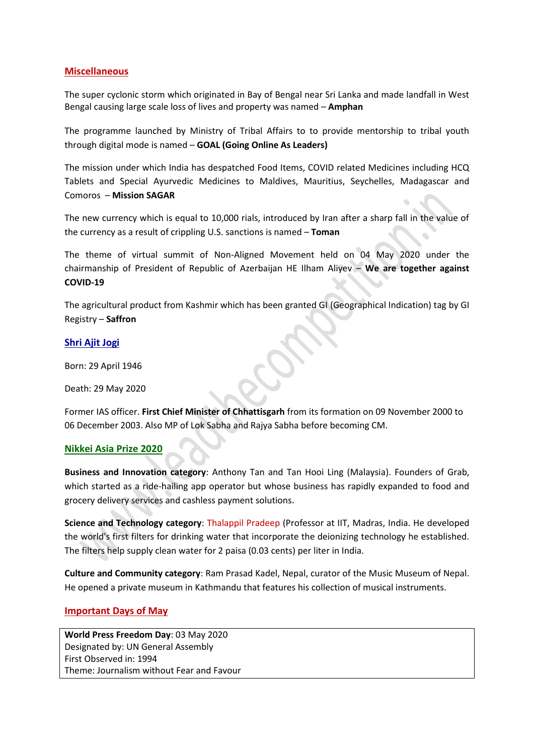## **Miscellaneous**

The super cyclonic storm which originated in Bay of Bengal near Sri Lanka and made landfall in West Bengal causing large scale loss of lives and property was named – **Amphan**

The programme launched by Ministry of Tribal Affairs to to provide mentorship to tribal youth through digital mode is named – **GOAL (Going Online As Leaders)**

The mission under which India has despatched Food Items, COVID related Medicines including HCQ Tablets and Special Ayurvedic Medicines to Maldives, Mauritius, Seychelles, Madagascar and Comoros – **Mission SAGAR**

The new currency which is equal to 10,000 rials, introduced by Iran after a sharp fall in the value of the currency as a result of crippling U.S. sanctions is named – **Toman**

The theme of virtual summit of Non-Aligned Movement held on 04 May 2020 under the chairmanship of President of Republic of Azerbaijan HE Ilham Aliyev – **We are together against COVID-19**

The agricultural product from Kashmir which has been granted GI (Geographical Indication) tag by GI Registry – **Saffron**

#### **Shri Ajit Jogi**

Born: 29 April 1946

Death: 29 May 2020

Former IAS officer. **First Chief Minister of Chhattisgarh** from its formation on 09 November 2000 to 06 December 2003. Also MP of Lok Sabha and Rajya Sabha before becoming CM.

#### **Nikkei Asia Prize 2020**

**Business and Innovation category**: Anthony Tan and Tan Hooi Ling (Malaysia). Founders of Grab, which started as a ride-hailing app operator but whose business has rapidly expanded to food and grocery delivery services and cashless payment solutions.

**Science and Technology category**: Thalappil Pradeep (Professor at IIT, Madras, India. He developed the world's first filters for drinking water that incorporate the deionizing technology he established. The filters help supply clean water for 2 paisa (0.03 cents) per liter in India.

**Culture and Community category**: Ram Prasad Kadel, Nepal, curator of the Music Museum of Nepal. He opened a private museum in Kathmandu that features his collection of musical instruments.

## **Important Days of May**

**World Press Freedom Day**: 03 May 2020 Designated by: UN General Assembly First Observed in: 1994 Theme: Journalism without Fear and Favour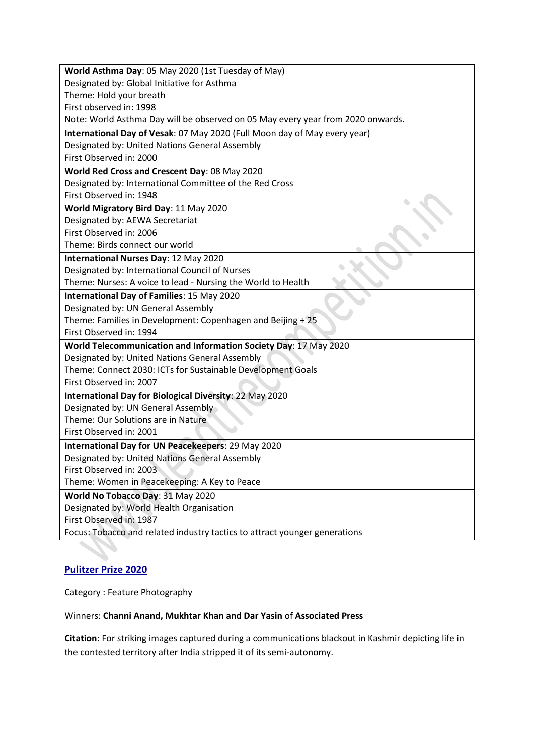| World Asthma Day: 05 May 2020 (1st Tuesday of May)                              |
|---------------------------------------------------------------------------------|
| Designated by: Global Initiative for Asthma                                     |
| Theme: Hold your breath                                                         |
| First observed in: 1998                                                         |
| Note: World Asthma Day will be observed on 05 May every year from 2020 onwards. |
| International Day of Vesak: 07 May 2020 (Full Moon day of May every year)       |
| Designated by: United Nations General Assembly                                  |
| First Observed in: 2000                                                         |
| World Red Cross and Crescent Day: 08 May 2020                                   |
| Designated by: International Committee of the Red Cross                         |
| First Observed in: 1948                                                         |
| World Migratory Bird Day: 11 May 2020                                           |
| Designated by: AEWA Secretariat                                                 |
| First Observed in: 2006                                                         |
| Theme: Birds connect our world                                                  |
| International Nurses Day: 12 May 2020                                           |
| Designated by: International Council of Nurses                                  |
| Theme: Nurses: A voice to lead - Nursing the World to Health                    |
| International Day of Families: 15 May 2020                                      |
| Designated by: UN General Assembly                                              |
| Theme: Families in Development: Copenhagen and Beijing + 25                     |
| First Observed in: 1994                                                         |
| World Telecommunication and Information Society Day: 17 May 2020                |
| Designated by: United Nations General Assembly                                  |
| Theme: Connect 2030: ICTs for Sustainable Development Goals                     |
| First Observed in: 2007                                                         |
| International Day for Biological Diversity: 22 May 2020                         |
| Designated by: UN General Assembly                                              |
| Theme: Our Solutions are in Nature                                              |
| First Observed in: 2001                                                         |
| International Day for UN Peacekeepers: 29 May 2020                              |
| Designated by: United Nations General Assembly                                  |
| First Observed in: 2003                                                         |
| Theme: Women in Peacekeeping: A Key to Peace                                    |
| World No Tobacco Day: 31 May 2020                                               |
| Designated by: World Health Organisation                                        |
| First Observed in: 1987                                                         |
| Focus: Tobacco and related industry tactics to attract younger generations      |

# **Pulitzer Prize 2020**

SS.

Category : Feature Photography

## Winners: **Channi Anand, Mukhtar Khan and Dar Yasin** of **Associated Press**

**Citation**: For striking images captured during a communications blackout in Kashmir depicting life in the contested territory after India stripped it of its semi-autonomy.